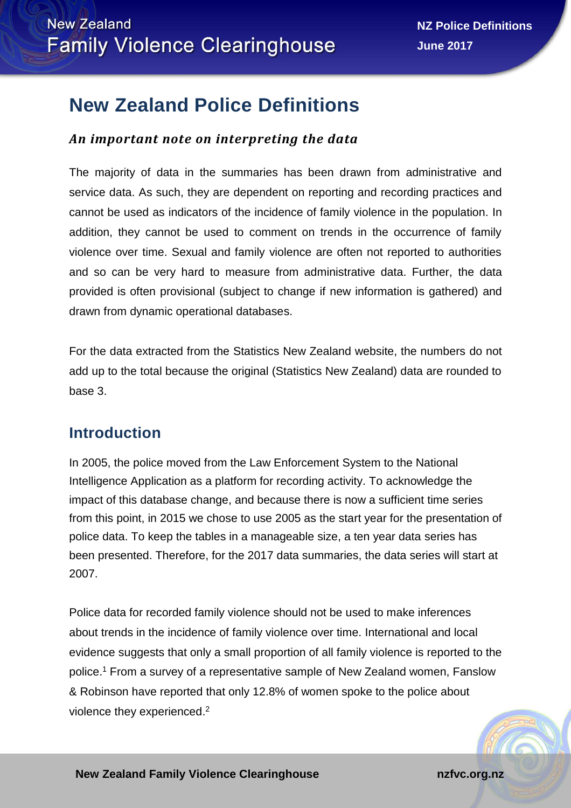# **New Zealand Police Definitions**

### *An important note on interpreting the data*

The majority of data in the summaries has been drawn from administrative and service data. As such, they are dependent on reporting and recording practices and cannot be used as indicators of the incidence of family violence in the population. In addition, they cannot be used to comment on trends in the occurrence of family violence over time. Sexual and family violence are often not reported to authorities and so can be very hard to measure from administrative data. Further, the data provided is often provisional (subject to change if new information is gathered) and drawn from dynamic operational databases.

For the data extracted from the Statistics New Zealand website, the numbers do not add up to the total because the original (Statistics New Zealand) data are rounded to base 3.

## **Introduction**

In 2005, the police moved from the Law Enforcement System to the National Intelligence Application as a platform for recording activity. To acknowledge the impact of this database change, and because there is now a sufficient time series from this point, in 2015 we chose to use 2005 as the start year for the presentation of police data. To keep the tables in a manageable size, a ten year data series has been presented. Therefore, for the 2017 data summaries, the data series will start at 2007.

Police data for recorded family violence should not be used to make inferences about trends in the incidence of family violence over time. International and local evidence suggests that only a small proportion of all family violence is reported to the police. <sup>1</sup> From a survey of a representative sample of New Zealand women, Fanslow & Robinson have reported that only 12.8% of women spoke to the police about violence they experienced.<sup>2</sup>

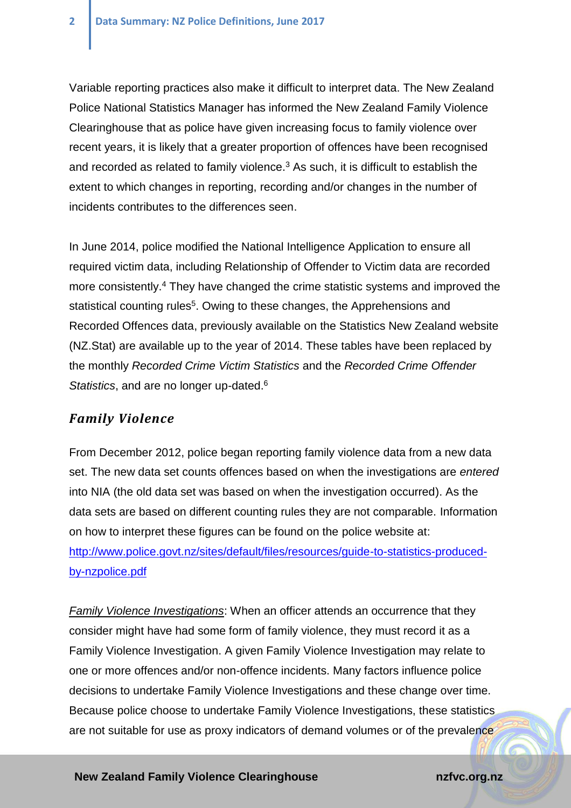Variable reporting practices also make it difficult to interpret data. The New Zealand Police National Statistics Manager has informed the New Zealand Family Violence Clearinghouse that as police have given increasing focus to family violence over recent years, it is likely that a greater proportion of offences have been recognised and recorded as related to family violence. <sup>3</sup> As such, it is difficult to establish the extent to which changes in reporting, recording and/or changes in the number of incidents contributes to the differences seen.

In June 2014, police modified the National Intelligence Application to ensure all required victim data, including Relationship of Offender to Victim data are recorded more consistently.<sup>4</sup> They have changed the crime statistic systems and improved the statistical counting rules<sup>5</sup>. Owing to these changes, the Apprehensions and Recorded Offences data, previously available on the Statistics New Zealand website (NZ.Stat) are available up to the year of 2014. These tables have been replaced by the monthly *Recorded Crime Victim Statistics* and the *Recorded Crime Offender Statistics*, and are no longer up-dated.<sup>6</sup>

#### *Family Violence*

From December 2012, police began reporting family violence data from a new data set. The new data set counts offences based on when the investigations are *entered* into NIA (the old data set was based on when the investigation occurred). As the data sets are based on different counting rules they are not comparable. Information on how to interpret these figures can be found on the police website at: [http://www.police.govt.nz/sites/default/files/resources/guide-to-statistics-produced](http://www.police.govt.nz/sites/default/files/resources/guide-to-statistics-produced-by-nzpolice.pdf)[by-nzpolice.pdf](http://www.police.govt.nz/sites/default/files/resources/guide-to-statistics-produced-by-nzpolice.pdf)

*Family Violence Investigations*: When an officer attends an occurrence that they consider might have had some form of family violence, they must record it as a Family Violence Investigation. A given Family Violence Investigation may relate to one or more offences and/or non-offence incidents. Many factors influence police decisions to undertake Family Violence Investigations and these change over time. Because police choose to undertake Family Violence Investigations, these statistics are not suitable for use as proxy indicators of demand volumes or of the prevalence

#### **New Zealand Family Violence Clearinghouse noting the matrice of the national national national national national national national national national national national national national national national national national**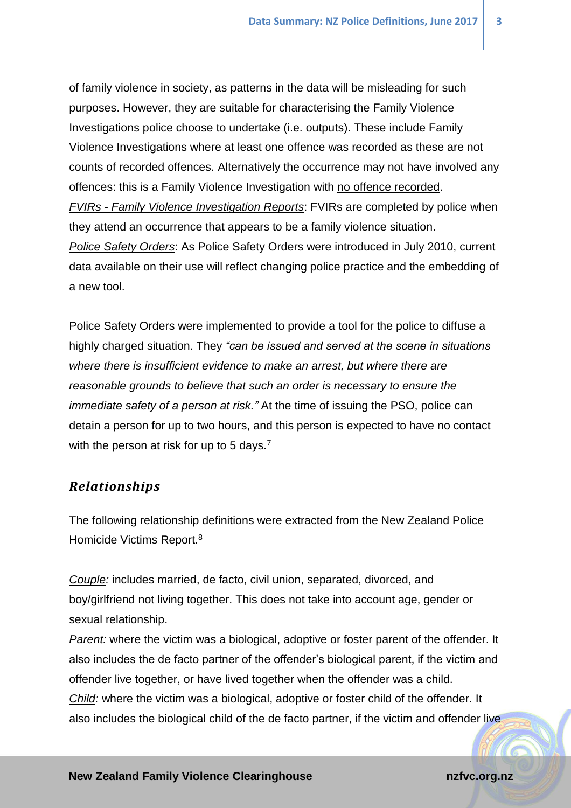of family violence in society, as patterns in the data will be misleading for such purposes. However, they are suitable for characterising the Family Violence Investigations police choose to undertake (i.e. outputs). These include Family Violence Investigations where at least one offence was recorded as these are not counts of recorded offences. Alternatively the occurrence may not have involved any offences: this is a Family Violence Investigation with no offence recorded. *FVIRs - Family Violence Investigation Reports*: FVIRs are completed by police when they attend an occurrence that appears to be a family violence situation. *Police Safety Orders*: As Police Safety Orders were introduced in July 2010, current data available on their use will reflect changing police practice and the embedding of a new tool.

Police Safety Orders were implemented to provide a tool for the police to diffuse a highly charged situation. They *"can be issued and served at the scene in situations where there is insufficient evidence to make an arrest, but where there are reasonable grounds to believe that such an order is necessary to ensure the immediate safety of a person at risk."* At the time of issuing the PSO, police can detain a person for up to two hours, and this person is expected to have no contact with the person at risk for up to 5 days.<sup>7</sup>

#### *Relationships*

The following relationship definitions were extracted from the New Zealand Police Homicide Victims Report.<sup>8</sup>

*Couple:* includes married, de facto, civil union, separated, divorced, and boy/girlfriend not living together. This does not take into account age, gender or sexual relationship.

*Parent:* where the victim was a biological, adoptive or foster parent of the offender. It also includes the de facto partner of the offender's biological parent, if the victim and offender live together, or have lived together when the offender was a child. *Child:* where the victim was a biological, adoptive or foster child of the offender. It also includes the biological child of the de facto partner, if the victim and offender live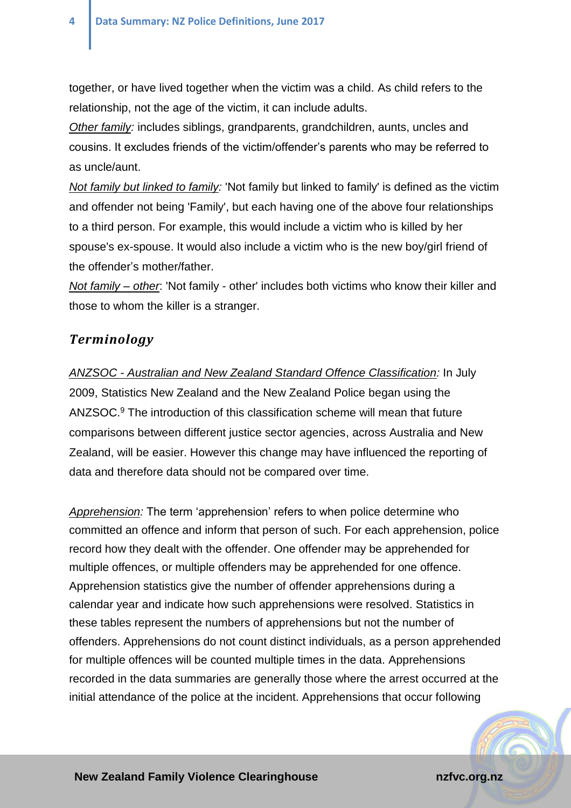together, or have lived together when the victim was a child. As child refers to the relationship, not the age of the victim, it can include adults.

*Other family:* includes siblings, grandparents, grandchildren, aunts, uncles and cousins. It excludes friends of the victim/offender's parents who may be referred to as uncle/aunt.

*Not family but linked to family:* 'Not family but linked to family' is defined as the victim and offender not being 'Family', but each having one of the above four relationships to a third person. For example, this would include a victim who is killed by her spouse's ex-spouse. It would also include a victim who is the new boy/girl friend of the offender's mother/father.

*Not family – other*: 'Not family - other' includes both victims who know their killer and those to whom the killer is a stranger.

### *Terminology*

*ANZSOC - Australian and New Zealand Standard Offence Classification:* In July 2009, Statistics New Zealand and the New Zealand Police began using the ANZSOC. <sup>9</sup> The introduction of this classification scheme will mean that future comparisons between different justice sector agencies, across Australia and New Zealand, will be easier. However this change may have influenced the reporting of data and therefore data should not be compared over time.

*Apprehension:* The term 'apprehension' refers to when police determine who committed an offence and inform that person of such. For each apprehension, police record how they dealt with the offender. One offender may be apprehended for multiple offences, or multiple offenders may be apprehended for one offence. Apprehension statistics give the number of offender apprehensions during a calendar year and indicate how such apprehensions were resolved. Statistics in these tables represent the numbers of apprehensions but not the number of offenders. Apprehensions do not count distinct individuals, as a person apprehended for multiple offences will be counted multiple times in the data. Apprehensions recorded in the data summaries are generally those where the arrest occurred at the initial attendance of the police at the incident. Apprehensions that occur following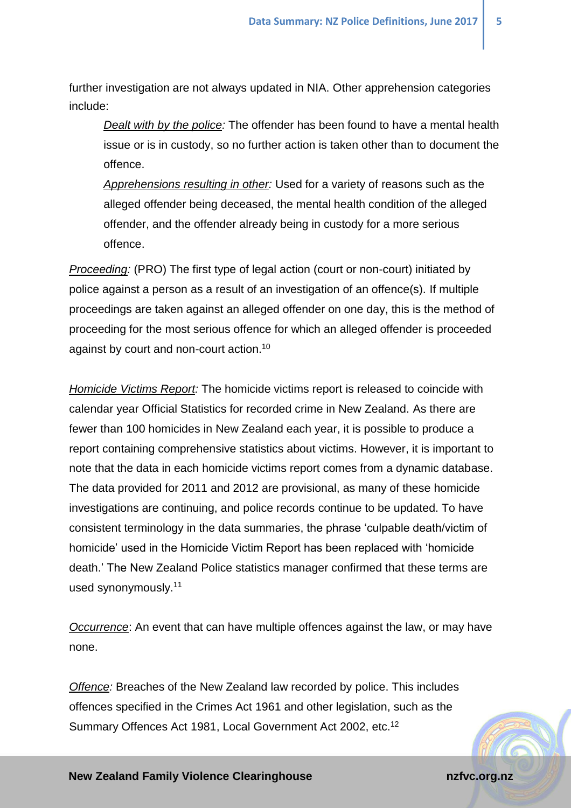further investigation are not always updated in NIA. Other apprehension categories include:

*Dealt with by the police:* The offender has been found to have a mental health issue or is in custody, so no further action is taken other than to document the offence.

*Apprehensions resulting in other:* Used for a variety of reasons such as the alleged offender being deceased, the mental health condition of the alleged offender, and the offender already being in custody for a more serious offence.

*Proceeding:* (PRO) The first type of legal action (court or non-court) initiated by police against a person as a result of an investigation of an offence(s). If multiple proceedings are taken against an alleged offender on one day, this is the method of proceeding for the most serious offence for which an alleged offender is proceeded against by court and non-court action.<sup>10</sup>

<span id="page-4-1"></span>*Homicide Victims Report:* The homicide victims report is released to coincide with calendar year Official Statistics for recorded crime in New Zealand. As there are fewer than 100 homicides in New Zealand each year, it is possible to produce a report containing comprehensive statistics about victims. However, it is important to note that the data in each homicide victims report comes from a dynamic database. The data provided for 2011 and 2012 are provisional, as many of these homicide investigations are continuing, and police records continue to be updated. To have consistent terminology in the data summaries, the phrase 'culpable death/victim of homicide' used in the Homicide Victim Report has been replaced with 'homicide death.' The New Zealand Police statistics manager confirmed that these terms are used synonymously. 11

<span id="page-4-0"></span>*Occurrence*: An event that can have multiple offences against the law, or may have none.

*Offence:* Breaches of the New Zealand law recorded by police. This includes offences specified in the Crimes Act 1961 and other legislation, such as the Summary Offences Act 1981, Local Government Act 2002, etc.<sup>12</sup>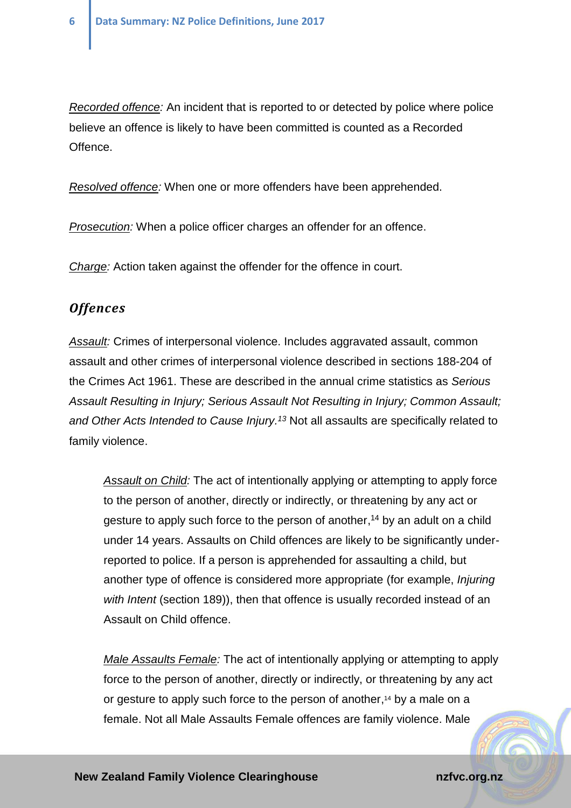*Recorded offence:* An incident that is reported to or detected by police where police believe an offence is likely to have been committed is counted as a Recorded Offence.

*Resolved offence:* When one or more offenders have been apprehended.

*Prosecution:* When a police officer charges an offender for an offence.

*Charge:* Action taken against the offender for the offence in court.

#### *Offences*

*Assault:* Crimes of interpersonal violence. Includes aggravated assault, common assault and other crimes of interpersonal violence described in sections 188-204 of the Crimes Act 1961. These are described in the annual crime statistics as *Serious Assault Resulting in Injury; Serious Assault Not Resulting in Injury; Common Assault; and Other Acts Intended to Cause Injury. <sup>13</sup>* Not all assaults are specifically related to family violence.

<span id="page-5-1"></span><span id="page-5-0"></span>*Assault on Child:* The act of intentionally applying or attempting to apply force to the person of another, directly or indirectly, or threatening by any act or gesture to apply such force to the person of another, <sup>14</sup> by an adult on a child under 14 years. Assaults on Child offences are likely to be significantly underreported to police. If a person is apprehended for assaulting a child, but another type of offence is considered more appropriate (for example, *Injuring with Intent* (section 189)), then that offence is usually recorded instead of an Assault on Child offence.

*Male Assaults Female:* The act of intentionally applying or attempting to apply force to the person of another, directly or indirectly, or threatening by any act or gesture to apply such force to the person of another, [14](#page-5-0) by a male on a female. Not all Male Assaults Female offences are family violence. Male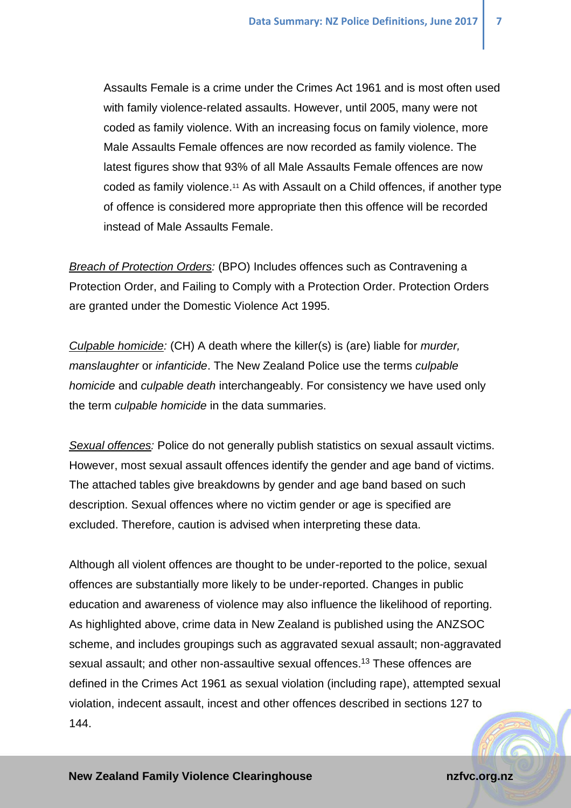Assaults Female is a crime under the Crimes Act 1961 and is most often used with family violence-related assaults. However, until 2005, many were not coded as family violence. With an increasing focus on family violence, more Male Assaults Female offences are now recorded as family violence. The latest figures show that 93% of all Male Assaults Female offences are now coded as family violence. [11](#page-4-0) As with Assault on a Child offences, if another type of offence is considered more appropriate then this offence will be recorded instead of Male Assaults Female.

*Breach of Protection Orders:* (BPO) Includes offences such as Contravening a Protection Order, and Failing to Comply with a Protection Order. Protection Orders are granted under the Domestic Violence Act 1995.

*Culpable homicide:* (CH) A death where the killer(s) is (are) liable for *murder, manslaughter* or *infanticide*. The New Zealand Police use the terms *culpable homicide* and *culpable death* interchangeably. For consistency we have used only the term *culpable homicide* in the data summaries.

*Sexual offences:* Police do not generally publish statistics on sexual assault victims. However, most sexual assault offences identify the gender and age band of victims. The attached tables give breakdowns by gender and age band based on such description. Sexual offences where no victim gender or age is specified are excluded. Therefore, caution is advised when interpreting these data.

Although all violent offences are thought to be under-reported to the police, sexual offences are substantially more likely to be under-reported. Changes in public education and awareness of violence may also influence the likelihood of reporting. As highlighted above, crime data in New Zealand is published using the ANZSOC scheme, and includes groupings such as aggravated sexual assault; non-aggravated sexual assault; and other non-assaultive sexual offences. [13](#page-5-1) These offences are defined in the Crimes Act 1961 as sexual violation (including rape), attempted sexual violation, indecent assault, incest and other offences described in sections 127 to 144.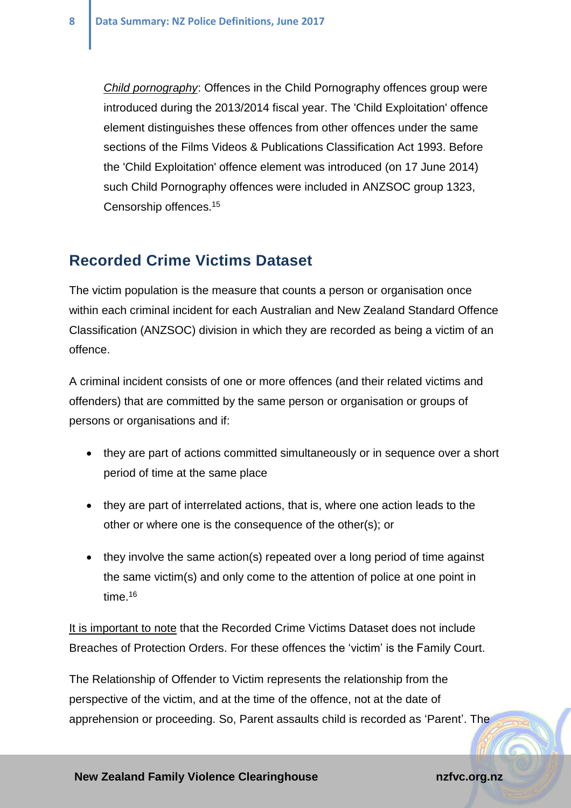*Child pornography*: Offences in the Child Pornography offences group were introduced during the 2013/2014 fiscal year. The 'Child Exploitation' offence element distinguishes these offences from other offences under the same sections of the Films Videos & Publications Classification Act 1993. Before the 'Child Exploitation' offence element was introduced (on 17 June 2014) such Child Pornography offences were included in ANZSOC group 1323, Censorship offences.<sup>15</sup>

### **Recorded Crime Victims Dataset**

The victim population is the measure that counts a person or organisation once within each criminal incident for each Australian and New Zealand Standard Offence Classification (ANZSOC) division in which they are recorded as being a victim of an offence.

A criminal incident consists of one or more offences (and their related victims and offenders) that are committed by the same person or organisation or groups of persons or organisations and if:

- they are part of actions committed simultaneously or in sequence over a short period of time at the same place
- they are part of interrelated actions, that is, where one action leads to the other or where one is the consequence of the other(s); or
- they involve the same action(s) repeated over a long period of time against the same victim(s) and only come to the attention of police at one point in time.<sup>16</sup>

It is important to note that the Recorded Crime Victims Dataset does not include Breaches of Protection Orders. For these offences the 'victim' is the Family Court.

The Relationship of Offender to Victim represents the relationship from the perspective of the victim, and at the time of the offence, not at the date of apprehension or proceeding. So, Parent assaults child is recorded as 'Parent'. The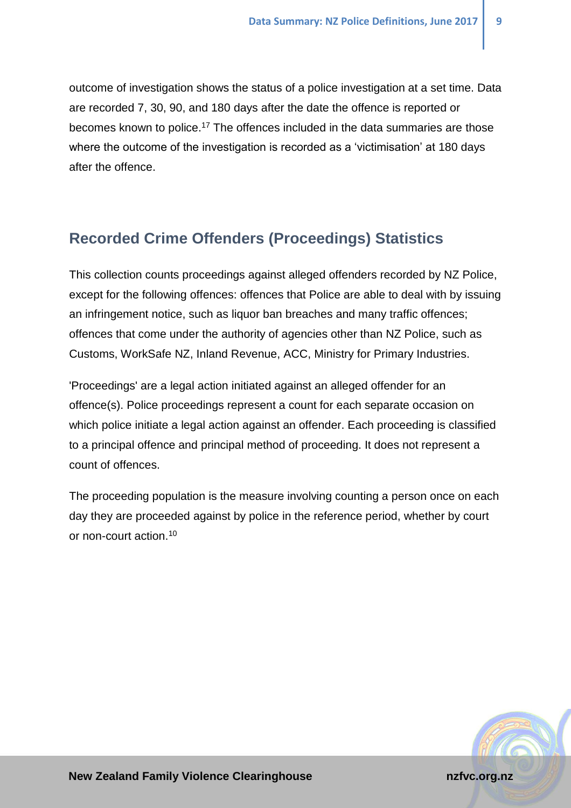outcome of investigation shows the status of a police investigation at a set time. Data are recorded 7, 30, 90, and 180 days after the date the offence is reported or becomes known to police.<sup>17</sup> The offences included in the data summaries are those where the outcome of the investigation is recorded as a 'victimisation' at 180 days after the offence.

## **Recorded Crime Offenders (Proceedings) Statistics**

This collection counts proceedings against alleged offenders recorded by NZ Police, except for the following offences: offences that Police are able to deal with by issuing an infringement notice, such as liquor ban breaches and many traffic offences; offences that come under the authority of agencies other than NZ Police, such as Customs, WorkSafe NZ, Inland Revenue, ACC, Ministry for Primary Industries.

'Proceedings' are a legal action initiated against an alleged offender for an offence(s). Police proceedings represent a count for each separate occasion on which police initiate a legal action against an offender. Each proceeding is classified to a principal offence and principal method of proceeding. It does not represent a count of offences.

The proceeding population is the measure involving counting a person once on each day they are proceeded against by police in the reference period, whether by court or non-court action.[10](#page-4-1)



**New Zealand Family Violence Clearinghouse national environmental control of the national environmental environmental environmental environmental environmental environmental environmental environmental environmental enviro**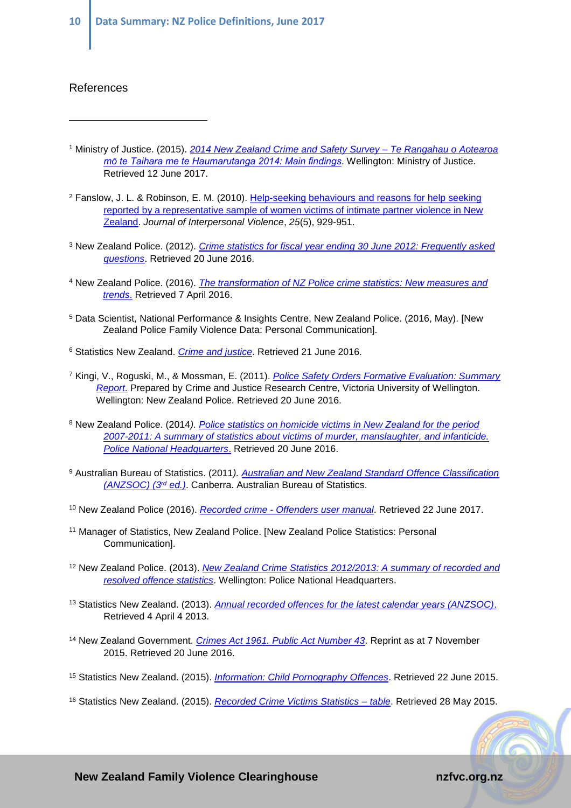#### References

 $\overline{a}$ 

- <sup>1</sup> Ministry of Justice. (2015). *[2014 New Zealand Crime and Safety Survey –](http://www.justice.govt.nz/assets/Documents/Publications/NZCASS-201602-Main-Findings-Report-Updated.pdf) Te Rangahau o Aotearoa [mō te Taihara me te Haumarutanga 2014: Main findings](http://www.justice.govt.nz/assets/Documents/Publications/NZCASS-201602-Main-Findings-Report-Updated.pdf)*. Wellington: Ministry of Justice. Retrieved 12 June 2017.
- <sup>2</sup> Fanslow, J. L. & Robinson, E. M. (2010). Help-seeking behaviours and reasons for help seeking [reported by a representative sample of women victims of intimate partner violence in New](http://dx.doi.org/10.1177/0886260509336963)  [Zealand.](http://dx.doi.org/10.1177/0886260509336963) *Journal of Interpersonal Violence*, *25*(5), 929-951.
- <sup>3</sup> New Zealand Police. (2012). *[Crime statistics for fiscal year ending 30 June 2012: Frequently asked](http://www.police.govt.nz/sites/default/files/publications/crime-statistics-fiscal-year-ending-30-june-2012-faqs.pdf)  [questions](http://www.police.govt.nz/sites/default/files/publications/crime-statistics-fiscal-year-ending-30-june-2012-faqs.pdf)*. Retrieved 20 June 2016.
- <sup>4</sup> New Zealand Police. (2016). *[The transformation of NZ Police crime statistics: New measures and](http://www.police.govt.nz/about-us/publication/transformation-nz-police-crime-statistics-new-measures-and-trends)  [trends](http://www.police.govt.nz/about-us/publication/transformation-nz-police-crime-statistics-new-measures-and-trends)*. Retrieved 7 April 2016.
- <sup>5</sup> Data Scientist, National Performance & Insights Centre, New Zealand Police. (2016, May). [New Zealand Police Family Violence Data: Personal Communication].
- <sup>6</sup> Statistics New Zealand. *[Crime and justice](http://www.stats.govt.nz/browse_for_stats/people_and_communities/crime_and_justice.aspx)*. Retrieved 21 June 2016.
- <sup>7</sup> Kingi, V., Roguski, M., & Mossman, E. (2011). *[Police Safety Orders Formative Evaluation: Summary](http://www.police.govt.nz/sites/default/files/resources/evaluation/police-safety-orders-formative-evaluation-2011.pdf)  [Report](http://www.police.govt.nz/sites/default/files/resources/evaluation/police-safety-orders-formative-evaluation-2011.pdf)*. Prepared by Crime and Justice Research Centre, Victoria University of Wellington. Wellington: New Zealand Police. Retrieved 20 June 2016.
- <sup>8</sup> New Zealand Police. (2014*). [Police statistics on homicide victims in New Zealand for the period](http://www.police.govt.nz/sites/default/files/publications/statistics-homicide-victims-report-2013.pdf)  [2007-2011: A summary of statistics about victims of murder, manslaughter, and infanticide.](http://www.police.govt.nz/sites/default/files/publications/statistics-homicide-victims-report-2013.pdf)  [Police National Headquarters](http://www.police.govt.nz/sites/default/files/publications/statistics-homicide-victims-report-2013.pdf)*. Retrieved 20 June 2016.
- <sup>9</sup> Australian Bureau of Statistics. (2011*). [Australian and New Zealand Standard Offence Classification](http://www.ausstats.abs.gov.au/Ausstats/subscriber.nsf/0/5CE97E870F7A29EDCA2578A200143125/$File/12340_2011.pdf)  [\(ANZSOC\)](http://www.ausstats.abs.gov.au/Ausstats/subscriber.nsf/0/5CE97E870F7A29EDCA2578A200143125/$File/12340_2011.pdf) (3rd ed.)*. Canberra. Australian Bureau of Statistics.
- <sup>10</sup> New Zealand Police (2016). *Recorded crime - [Offenders user manual](http://www.police.govt.nz/sites/default/files/publications/nz_recorded_crime_offenders_manual_v1.1.pdf)*. Retrieved 22 June 2017.
- <sup>11</sup> Manager of Statistics, New Zealand Police. [New Zealand Police Statistics: Personal Communication].
- <sup>12</sup> New Zealand Police. (2013). *New Zealand [Crime Statistics 2012/2013: A summary of recorded and](http://www.police.govt.nz/sites/default/files/publications/crime-stats-national-20130630.pdf)  [resolved offence statistics](http://www.police.govt.nz/sites/default/files/publications/crime-stats-national-20130630.pdf)*. Wellington: Police National Headquarters.
- <sup>13</sup> Statistics New Zealand. (2013). *[Annual recorded offences for the latest calendar years \(ANZSOC\)](http://nzdotstat.stats.govt.nz/wbos/Index.aspx?DataSetCode=TABLECODE7405)*. Retrieved 4 April 4 2013.
- <sup>14</sup> New Zealand Government. *Crimes Act 1961. [Public Act Number 43](http://www.legislation.govt.nz/act/public/1961/0043/latest/whole.html#DLM327394)*. Reprint as at 7 November 2015. Retrieved 20 June 2016.
- <sup>15</sup> Statistics New Zealand. (2015). *[Information: Child Pornography Offences](http://nzdotstat.stats.govt.nz/wbos/Index.aspx?DataSetCode=TABLECODE7405)*. Retrieved 22 June 2015.
- <sup>16</sup> Statistics New Zealand. (2015). *[Recorded Crime Victims Statistics –](http://www.stats.govt.nz/tools_and_services/nzdotstat/tables-by-subject/recorded-crime-victims.aspx) table*. Retrieved 28 May 2015.

**New Zealand Family Violence Clearinghouse noting the matrice of the national national national national national national national national national national national national national national national national national**